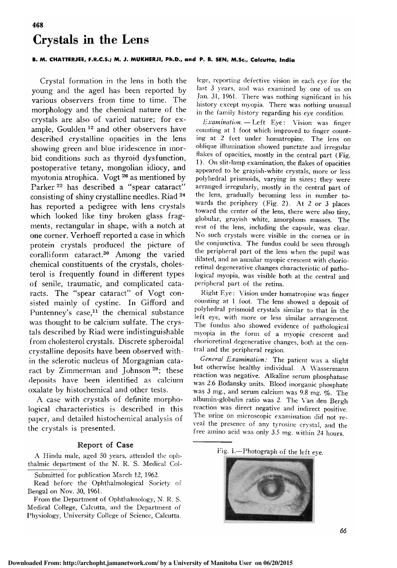# 468 Crystals in the Lens

### B. M. CHATTERJEE, F.R.C.S.; M. J. MUKHERJI, Ph.D., and P. B. SEN, M.Sc., Calcutta, India

Crystal formation in the lens in both the young and the aged has been reported by various observers from time to time. The morphology and the chemical nature of the crystals are also of varied nature; for example, Goulden<sup>12</sup> and other observers have described crystalline opacities in the lens showing green and blue iridescence in morbid conditions such as thyroid dysfunction, postoperative tetany, mongolian idiocy, and myotonia atrophica. Vogt <sup>26</sup> as mentioned by Parker<sup>22</sup> has described a "spear cataract" consisting of shiny crystalline needles. Riad <sup>24</sup> has reported <sup>a</sup> pedigree with lens crystals which looked like tiny broken glass fragments, rectangular in shape, with <sup>a</sup> notch at one corner. Verhoeff reported <sup>a</sup> case in which protein crystals produced the picture of coralliform cataract.30 Among the varied chemical constituents of the crystals, cholesterol is frequently found in different types of senile, traumatic, and complicated cataracts. The "spear cataract" of Vogt consisted mainly of cystine. In Gifford and Puntenney's case,<sup>11</sup> the chemical substance was thought to be calcium sulfate. The crystals described by Riad were indistinguishable from cholesterol crystals. Discrete spheroidal crystalline deposits have been observed within the sclerotic nucleus of Morgagnian cataract by Zimmerman and Johnson<sup>29</sup>; these deposits have been identified as calcium oxalate by histochemical and other tests.

A case with crystals of definite morphological characteristics is described in this paper, and detailed histochemical analysis of the crystals is presented.

### Report of Case

A Hindu male, aged <sup>50</sup> years, attended the oph thalmic department of the N. R. S. Medical Col-

Read before the Ophthalmological Society of Bengal on Nov. 30, 1961.

From the Department of Ophthalmology, N. R. S. Medical College, Calcutta, and the Department of Physiology, University College of Science, Calcutta. lege, reporting defective vision in each eye for the last <sup>3</sup> years, and was examined by one of us on Jan. 31, 1961. There was nothing significant in his history except myopia. There was nothing unusual in the family history regarding his eye condition.

Examination. Left Eye: Vision was finger counting at 1 foot which improved to finger counting at 2 feet under homatropine. The lens on oblique illumination showed punctate and irregular flakes of opacities, mostly in the central part (Fig. <sup>1</sup> ). On slit-lamp examination, the flakes of opacities appeared to be grayish-white crystals, more or less polyhedral prismoids, varying in sizes ; they were arranged irregularly, mostly in the central part of the lens, gradually becoming less in number towards the periphery (Fig. 2). At <sup>2</sup> or <sup>3</sup> places toward the center of the lens, there were also tiny, globular, grayish white, amorphous masses. The rest of the lens, including the capsule, was clear. No such crystals were visible in the cornea or in the conjunctiva. The fundus could be seen through the peripheral part of the lens when the pupil was dilated, and an annular myopic crescent with chorioretinal degenerative changes characteristic of pathological myopia, was visible both at the central and peripheral part of the retina.

Right Eye : Vision under homatropine was finger counting at <sup>1</sup> foot. The lens showed <sup>a</sup> deposit of polyhedral prismoid crystals similar to that in the The fundus also showed evidence of pathological myopia in the form of a myopic crescent and chorioretinal degenerative changes, both at the cen¬

tral and the peripheral region.<br>General Examination: The patient was a slight but otherwise healthy individual. A Wassermann reaction was negative. Alkaline serum phosphatase was 2.6 Bodansky units. Blood inorganic phosphate was <sup>3</sup> mg., and serum calcium was 9.8 mg. %. The albumin-globulin ratio was 2. The Van den Bergh reaction was direct negative and indirect positive. The urine on microscopic examination did not reveal the presence of any tyrosine crystal, and the free amino acid was only 3.5 mg. within <sup>24</sup> hours.





66

Submitted for publication March 12, 1962.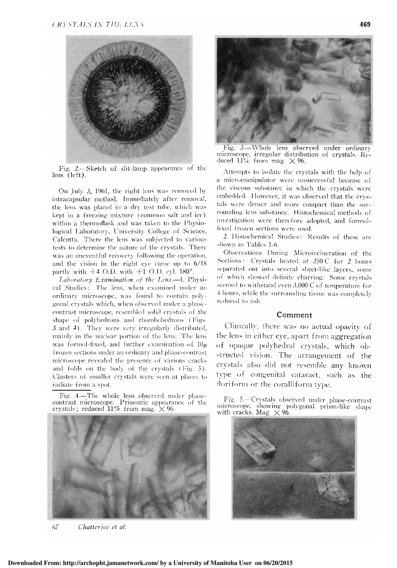

Fig. 2.—Sketch of slit-lamp appearance of the lens (left).

On July 3, 1961, the right lens was removed by intracapsular method. Immediately after removal, the lens was placed in <sup>a</sup> dry test tube, which was kept in <sup>a</sup> freezing mixture (common salt and ice) within a thermoflask and was taken to the Physiological Laboratory, University College of Science, Calcutta. There the lens was subjected to various tests to determine the nature of the crystals. There was an uneventful recovery following the operation, and the vision in the right eye came up to 6/18 partly with  $+4$  O.D. with  $+1$  O.D. cyl. 180 $^{\circ}$ .

Laboratory Examination of the Lens. $-1$ . Physical Studies : The lens, when examined under an ordinary microscope, was found to contain polygonal crystals which, when observed under <sup>a</sup> phasecontrast microscope, resembled solid crystals of the shape of polyhedrons and rhombohedrons ( Figs. <sup>3</sup> and 4). They were very irregularly distributed, mainly in the nuclear portion of the lens. The lens was formol-fixed, and further examination of  $10\mu$ frozen sections under an ordinary and phase-contrast microscope revealed the presence of various cracks and folds on the body of the crystals (Fig. 5). Clusters of smaller crystals were seen at places to radiate from <sup>a</sup> spot.

Fig. 4.—The whole lens observed under phasecontrast microscope. Prismatic appearance of the crystals; reduced  $11\%$  from mag.  $\times$  96



67 Chatterjee et al.



Fig. 3.—Whole lens observed under ordinary microscope, irregular distribution of crystals. Re duced  $11\%$  from mag.  $\times$  96.

Attempts to isolate the crystals with the help of a micromanipulator were unsuccessful because of the viscous substance in which the crystals were embedded. However, it was observed that the crystals were denser and more compact than the surrounding lens substance. Histochemical methods of investigation were therefore adopted, and formolfixed frozen sections were used.

2. Histochemical Studies : Results of these are shown in Tables 1-6.

Observations During Microincineration of the Sections : Crystals heated at 250 C for 2 hours separated out into several sheet-like layers, some of which showed definite charring. Some crystals seemed to withstand even 3,000 C of temperature for <sup>4</sup> hours, while the surrounding tissue was completely reduced to ash.

## Comment

Clinically, there was no actual opacity of the lens in either eye, apart from aggregation of opaque polyhedral crystals, which obstructed vision. The arrangement of the crystals also did not resemble any known type of congenital cataract, such as the floriform or the coralliform type.

Fig. 5.—Crystals observed under phase-contrast microscope, showing polygonal prism-like shape with cracks. Mag.  $\times$  96.

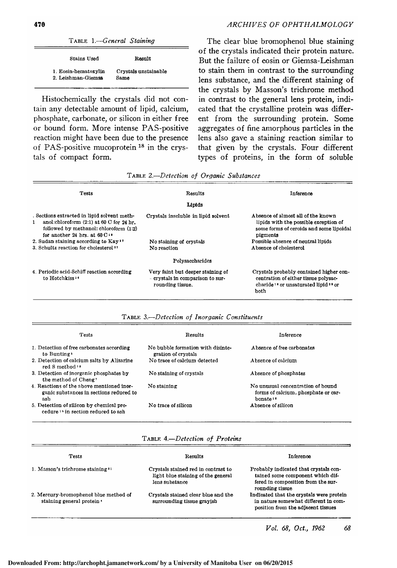| TABLE 1.-General Staining                  |                              |  |
|--------------------------------------------|------------------------------|--|
| Stains Used                                | Result                       |  |
| 1. Eosin-hematoxylin<br>2. Leishman-Giemsa | Crystals unstainable<br>Same |  |

Histochemically the crystals did not contain any detectable amount of lipid, calcium, phosphate, carbonate, or silicon in either free or bound form. More intense PAS-positive reaction might have been due to the presence of PAS-positive mucoprotein<sup>18</sup> in the crystals of compact form.

The clear blue bromophenol blue staining of the crystals indicated their protein nature. But the failure of eosin or Giemsa-Leishman to stain them in contrast to the surrounding lens substance, and the different staining of the crystals by Masson's trichrome method in contrast to the general lens protein, indicated that the crystalline protein was different from the surrounding protein. Some aggregates of fine amorphous particles in the lens also gave <sup>a</sup> staining reaction similar to that given by the crystals. Four different types of proteins, in the form of soluble

| Tests                                                                                                                                                                                                      | Results                                                                                   | Inference                                                                                                                                              |
|------------------------------------------------------------------------------------------------------------------------------------------------------------------------------------------------------------|-------------------------------------------------------------------------------------------|--------------------------------------------------------------------------------------------------------------------------------------------------------|
|                                                                                                                                                                                                            | Lipids                                                                                    |                                                                                                                                                        |
| . Sections extracted in lipid solvent meth-<br>anol:chloroform $(2:1)$ at 60 C for 24 hr.<br>$\mathbf{1}$<br>followed by methanol: chloroform (1:2)<br>for another 24 hrs. at $60 \text{ C}$ <sup>19</sup> | Crystals inscluble in lipid solvent                                                       | Absence of almost all of the known<br>lipids with the possible exception of<br>some forms of ceroids and some lipoidal<br>pigments                     |
| 2. Sudan staining according to Kay <sup>17</sup><br>3. Schultz reaction for cholesterol <sup>27</sup>                                                                                                      | No staining of crystals<br>No reaction                                                    | Possible absence of neutral lipids<br>Absence of cholesterol                                                                                           |
|                                                                                                                                                                                                            | Polysaccharides                                                                           |                                                                                                                                                        |
| 4. Periodic acid-Schiff reaction according<br>to Hotchkiss <sup>16</sup>                                                                                                                                   | Very faint but deeper staining of<br>- crystals in comparison to sur-<br>rounding tissue. | Crystals probably contained higher con-<br>centration of either tissue polysac-<br>charide <sup>16</sup> or unsaturated lipid <sup>28</sup> or<br>both |

Table 2.—Detection of Organic Substances

| TABLE 3-Detection of Inorganic Constituents |  |  |  |
|---------------------------------------------|--|--|--|
|---------------------------------------------|--|--|--|

| <b>Tests</b>                                                                                | <b>Results</b>                                           | Inference                                                                                        |
|---------------------------------------------------------------------------------------------|----------------------------------------------------------|--------------------------------------------------------------------------------------------------|
| 1. Detection of free carbonates according<br>to Bunting •                                   | No bubble formation with disinte-<br>gration of crystals | Absence of free carbonates                                                                       |
| 2. Detection of calcium salts by Alizarine<br>red S method $\cdot$                          | No trace of calcium detected                             | Absence of calcium                                                                               |
| 3. Detection of inorganic phosphates by<br>the method of Cheng?                             | No staining of crystals                                  | Absence of phosphates                                                                            |
| 4. Reactions of the above mentioned inor-<br>ganic substances in sections reduced to<br>ash | No staining                                              | No unusual concentration of hound<br>forms of calcium, phosphate or car-<br>bonate <sup>16</sup> |
| 5. Detection of silicon by chemical pro-<br>cedure <sup>15</sup> in section reduced to ash  | No trace of silicon                                      | Absence of silicon                                                                               |

TABLE 4.-Detection of Proteins

| <b>Tests</b>                                                        | Results                                                                                     | <b>Inference</b>                                                                                                                   |
|---------------------------------------------------------------------|---------------------------------------------------------------------------------------------|------------------------------------------------------------------------------------------------------------------------------------|
| 1. Masson's trichrome staining ??                                   | Crystals stained red in contrast to<br>light blue staining of the general<br>lens substance | Probably indicated that crystals con-<br>tained some component which dif-<br>fered in composition from the sur-<br>rounding tissue |
| 2. Mercury-bromophenol blue method of<br>staining general protein · | Crystals stained clear blue and the<br>surrounding tissue grayish                           | Indicated that the crystals were protein<br>in nature somewhat different in com-<br>position from the adjacent tissues             |

 $\equiv$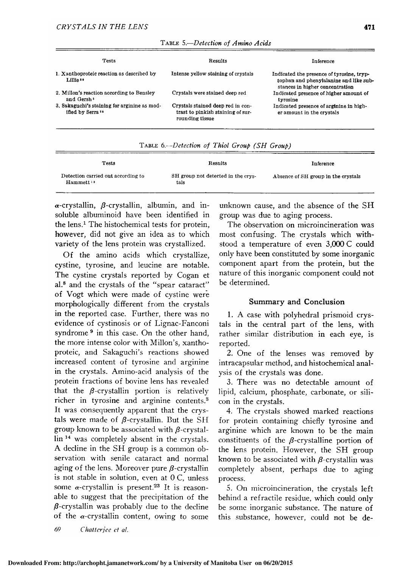| <b>Tests</b>                                                                 | Results                                                                                   | Inference                                                                                                              |
|------------------------------------------------------------------------------|-------------------------------------------------------------------------------------------|------------------------------------------------------------------------------------------------------------------------|
| 1. Xanthoproteic reaction as described by<br>Lillie <sup>10</sup>            | Intense yellow staining of crystals                                                       | Indicated the presence of tyrosine, tryp-<br>tophan and phenylalanine and like sub-<br>stances in higher concentration |
| 2. Millon's reaction according to Bensley<br>and Gersh <sup>2</sup>          | Crystals were stained deep red                                                            | Indicated presence of higher amount of<br>tyrosine                                                                     |
| 3. Sakaguchi's staining for arginine as mod-<br>ified by Serra <sup>11</sup> | Crystals stained deep red in con-<br>trast to pinkish staining of sur-<br>rounding tissue | Indicated presence of arginine in high-<br>er amount in the crystals                                                   |

| TABLE 5.-Detection of Amino Acids |  |  |  |
|-----------------------------------|--|--|--|
|-----------------------------------|--|--|--|

| TABLE 6.—Detection of Thiol Group (SH Group) |  |
|----------------------------------------------|--|
|----------------------------------------------|--|

| Tests                                                       | Results                                    | Inference                           |
|-------------------------------------------------------------|--------------------------------------------|-------------------------------------|
| Detection carried out according to<br>Hammett <sup>13</sup> | SH group not detected in the crys-<br>tals | Absence of SH group in the crystals |

 $\alpha$ -crystallin,  $\beta$ -crystallin, albumin, and insoluble albuminoid have been identified in the lens.<sup>1</sup> The histochemical tests for protein, however, did not give an idea as to which variety of the lens protein was crystallized.

Of the amino acids which crystallize, cystine, tyrosine, and leucine are notable. The cystine crystals reported by Cogan et al.8 and the crystals of the "spear cataract" of Vogt which were made of cystine were morphologically different from the crystals in the reported case. Further, there was no evidence of cystinosis or of Lignac-Fanconi syndrome<sup>9</sup> in this case. On the other hand, the more intense color with Millon's, xanthoproteic, and Sakaguchi's reactions showed increased content of tyrosine and arginine in the crystals. Amino-acid analysis of the protein fractions of bovine lens has revealed that the  $\beta$ -crystallin portion is relatively richer in tyrosine and arginine contents.3 It was consequently apparent that the crystals were made of  $\beta$ -crystallin. But the SH group known to be associated with  $\beta$ -crystallin <sup>14</sup> was completely absent in the crystals. A decline in the SH group is a common observation with senile cataract and normal aging of the lens. Moreover pure  $\beta$ -crystallin is not stable in solution, even at <sup>0</sup> C, unless some  $\alpha$ -crystallin is present.<sup>23</sup> It is reasonable to suggest that the precipitation of the  $\beta$ -crystallin was probably due to the decline of the  $\alpha$ -crystallin content, owing to some

unknown cause, and the absence of the SH group was due to aging process.

The observation on microincineration was most confusing. The crystals which withstood <sup>a</sup> temperature of even 3,000 C could only have been constituted by some inorganic component apart from the protein, but the nature of this inorganic component could not be determined.

# Summary and Conclusion

1. A case with polyhedral prismoid crystals in the central part of the lens, with rather similar distribution in each eye, is reported.

2. One of the lenses was removed by intracapsular method, and histochemical analysis of the crystals was done.

3. There was no detectable amount of lipid, calcium, phosphate, carbonate, or silicon in the crystals.

4. The crystals showed marked reactions for protein containing chiefly tyrosine and arginine which are known to be the main constituents of the  $\beta$ -crystalline portion of the lens protein. However, the SH group known to be associated with  $\beta$ -crystallin was completely absent, perhaps due to aging process.

5. On microincineration, the crystals left behind <sup>a</sup> refractile residue, which could only be some inorganic substance. The nature of this substance, however, could not be de-

69 Chatterjee et al.